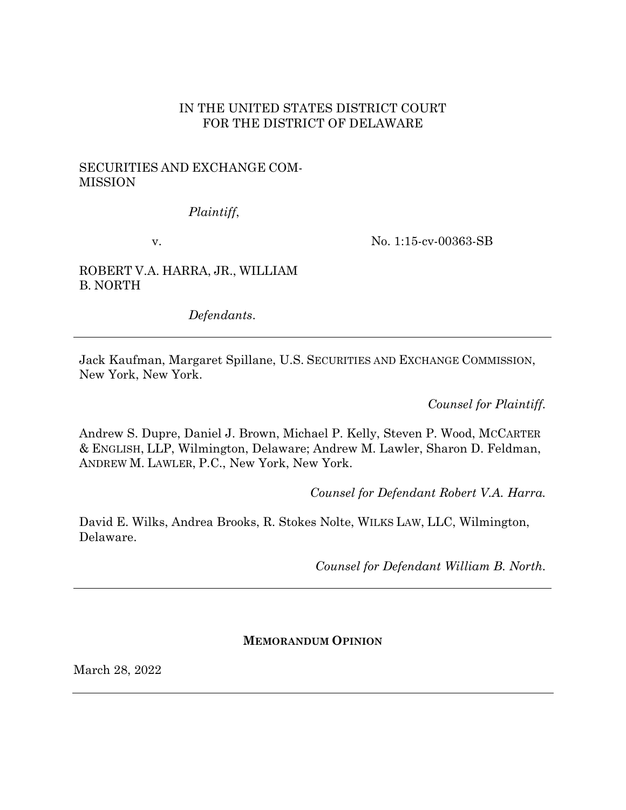### IN THE UNITED STATES DISTRICT COURT FOR THE DISTRICT OF DELAWARE

# SECURITIES AND EXCHANGE COM-MISSION

*Plaintiff*,

v.

No. 1:15-cv-00363-SB

ROBERT V.A. HARRA, JR., WILLIAM B. NORTH

*Defendants*.

Jack Kaufman, Margaret Spillane, U.S. SECURITIES AND EXCHANGE COMMISSION, New York, New York.

*Counsel for Plaintiff.*

Andrew S. Dupre, Daniel J. Brown, Michael P. Kelly, Steven P. Wood, MCCARTER & ENGLISH, LLP, Wilmington, Delaware; Andrew M. Lawler, Sharon D. Feldman, ANDREW M. LAWLER, P.C., New York, New York.

*Counsel for Defendant Robert V.A. Harra.*

David E. Wilks, Andrea Brooks, R. Stokes Nolte, WILKS LAW, LLC, Wilmington, Delaware.

*Counsel for Defendant William B. North.*

### **MEMORANDUM OPINION**

March 28, 2022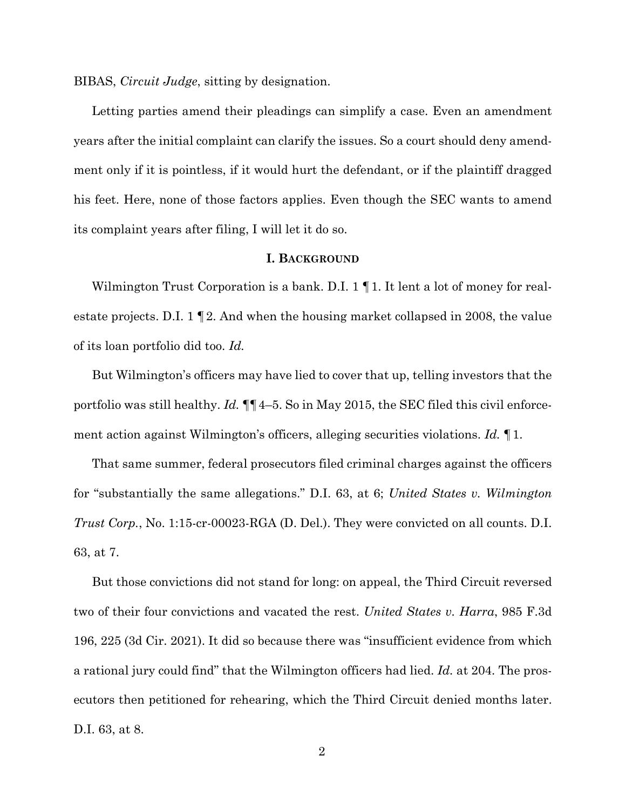BIBAS, *Circuit Judge*, sitting by designation.

Letting parties amend their pleadings can simplify a case. Even an amendment years after the initial complaint can clarify the issues. So a court should deny amendment only if it is pointless, if it would hurt the defendant, or if the plaintiff dragged his feet. Here, none of those factors applies. Even though the SEC wants to amend its complaint years after filing, I will let it do so.

### **I. BACKGROUND**

Wilmington Trust Corporation is a bank. D.I. 1 || 1. It lent a lot of money for realestate projects. D.I.  $1 \leq 2$ . And when the housing market collapsed in 2008, the value of its loan portfolio did too. *Id.*

But Wilmington's officers may have lied to cover that up, telling investors that the portfolio was still healthy. *Id.* ¶¶4–5. So in May 2015, the SEC filed this civil enforcement action against Wilmington's officers, alleging securities violations. *Id.* ¶1.

That same summer, federal prosecutors filed criminal charges against the officers for "substantially the same allegations." D.I. 63, at 6; *United States v. Wilmington Trust Corp.*, No. 1:15-cr-00023-RGA (D. Del.). They were convicted on all counts. D.I. 63, at 7.

But those convictions did not stand for long: on appeal, the Third Circuit reversed two of their four convictions and vacated the rest. *United States v. Harra*, 985 F.3d 196, 225 (3d Cir. 2021). It did so because there was "insufficient evidence from which a rational jury could find" that the Wilmington officers had lied. *Id.* at 204. The prosecutors then petitioned for rehearing, which the Third Circuit denied months later. D.I. 63, at 8.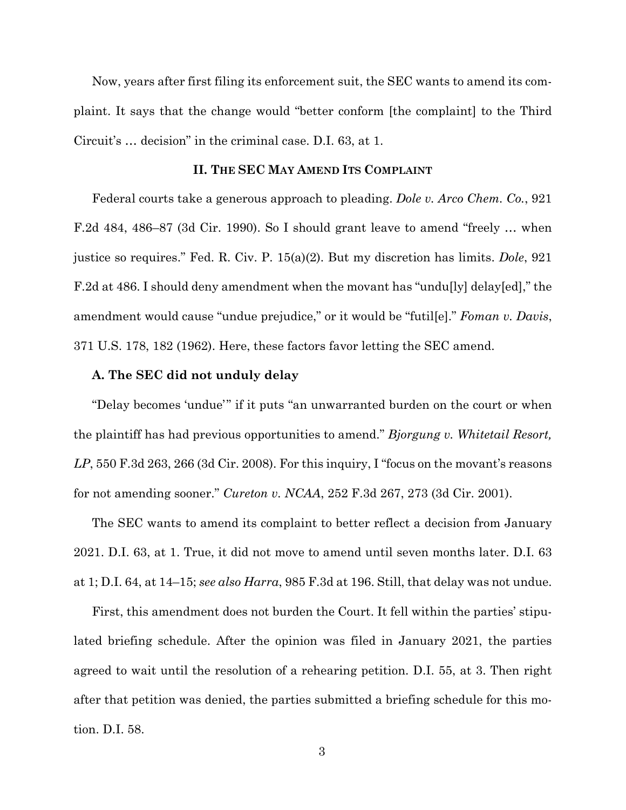Now, years after first filing its enforcement suit, the SEC wants to amend its complaint. It says that the change would "better conform [the complaint] to the Third Circuit's … decision" in the criminal case. D.I. 63, at 1.

#### **II. THE SEC MAY AMEND ITS COMPLAINT**

Federal courts take a generous approach to pleading. *Dole v. Arco Chem. Co.*, 921 F.2d 484, 486–87 (3d Cir. 1990). So I should grant leave to amend "freely … when justice so requires." Fed. R. Civ. P. 15(a)(2). But my discretion has limits. *Dole*, 921 F.2d at 486. I should deny amendment when the movant has "undu[ly] delay[ed]," the amendment would cause "undue prejudice," or it would be "futil[e]." *Foman v. Davis*, 371 U.S. 178, 182 (1962). Here, these factors favor letting the SEC amend.

#### **A. The SEC did not unduly delay**

"Delay becomes 'undue'" if it puts "an unwarranted burden on the court or when the plaintiff has had previous opportunities to amend." *Bjorgung v. Whitetail Resort, LP*, 550 F.3d 263, 266 (3d Cir. 2008). For this inquiry, I "focus on the movant's reasons for not amending sooner." *Cureton v. NCAA*, 252 F.3d 267, 273 (3d Cir. 2001).

The SEC wants to amend its complaint to better reflect a decision from January 2021. D.I. 63, at 1. True, it did not move to amend until seven months later. D.I. 63 at 1; D.I. 64, at 14–15; *see also Harra*, 985 F.3d at 196. Still, that delay was not undue.

First, this amendment does not burden the Court. It fell within the parties' stipulated briefing schedule. After the opinion was filed in January 2021, the parties agreed to wait until the resolution of a rehearing petition. D.I. 55, at 3. Then right after that petition was denied, the parties submitted a briefing schedule for this motion. D.I. 58.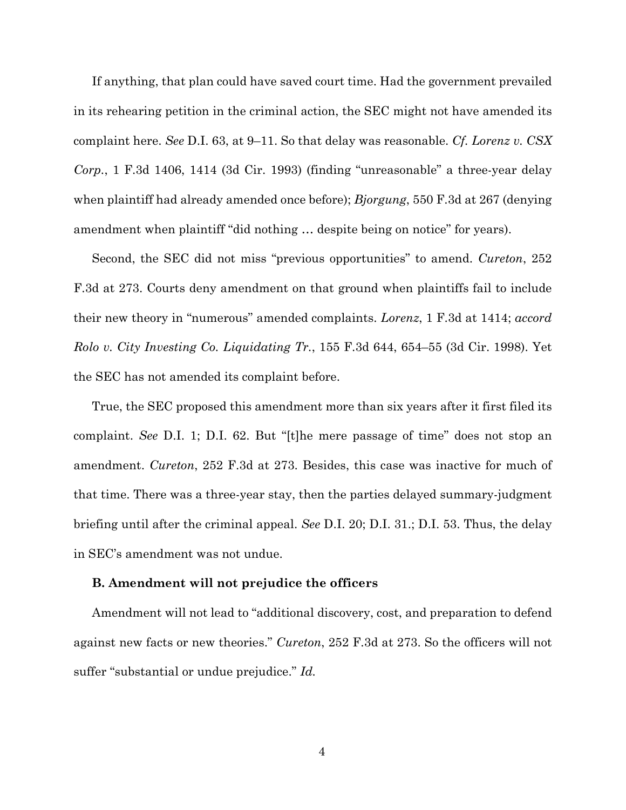If anything, that plan could have saved court time. Had the government prevailed in its rehearing petition in the criminal action, the SEC might not have amended its complaint here. *See* D.I. 63, at 9–11. So that delay was reasonable. *Cf. Lorenz v. CSX Corp.*, 1 F.3d 1406, 1414 (3d Cir. 1993) (finding "unreasonable" a three-year delay when plaintiff had already amended once before); *Bjorgung*, 550 F.3d at 267 (denying amendment when plaintiff "did nothing … despite being on notice" for years).

Second, the SEC did not miss "previous opportunities" to amend. *Cureton*, 252 F.3d at 273. Courts deny amendment on that ground when plaintiffs fail to include their new theory in "numerous" amended complaints. *Lorenz*, 1 F.3d at 1414; *accord Rolo v. City Investing Co. Liquidating Tr.*, 155 F.3d 644, 654–55 (3d Cir. 1998). Yet the SEC has not amended its complaint before.

True, the SEC proposed this amendment more than six years after it first filed its complaint. *See* D.I. 1; D.I. 62. But "[t]he mere passage of time" does not stop an amendment. *Cureton*, 252 F.3d at 273. Besides, this case was inactive for much of that time. There was a three-year stay, then the parties delayed summary-judgment briefing until after the criminal appeal. *See* D.I. 20; D.I. 31.; D.I. 53. Thus, the delay in SEC's amendment was not undue.

### **B. Amendment will not prejudice the officers**

Amendment will not lead to "additional discovery, cost, and preparation to defend against new facts or new theories." *Cureton*, 252 F.3d at 273. So the officers will not suffer "substantial or undue prejudice." *Id.*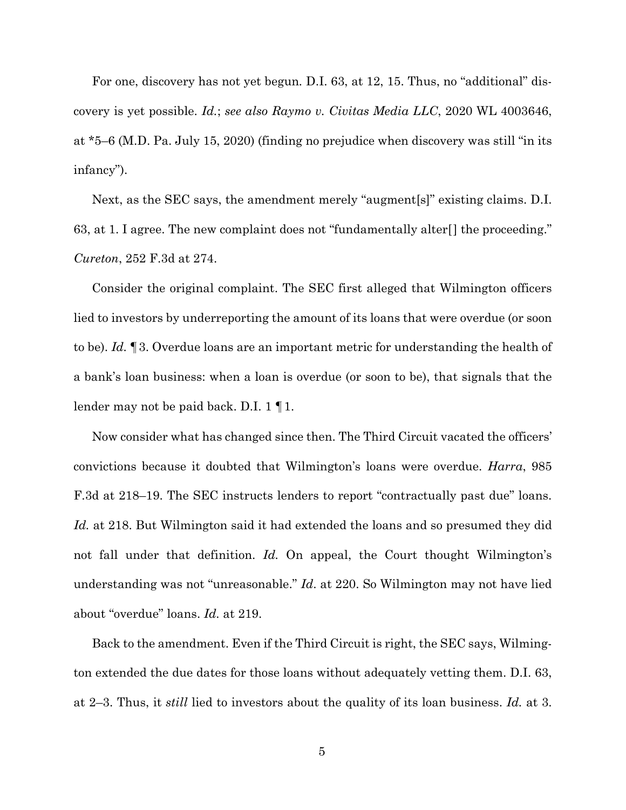For one, discovery has not yet begun*.* D.I. 63, at 12, 15. Thus, no "additional" discovery is yet possible. *Id.*; *see also Raymo v. Civitas Media LLC*, 2020 WL 4003646, at \*5–6 (M.D. Pa. July 15, 2020) (finding no prejudice when discovery was still "in its infancy").

Next, as the SEC says, the amendment merely "augment[s]" existing claims. D.I. 63, at 1. I agree. The new complaint does not "fundamentally alter[] the proceeding." *Cureton*, 252 F.3d at 274.

Consider the original complaint. The SEC first alleged that Wilmington officers lied to investors by underreporting the amount of its loans that were overdue (or soon to be). *Id.* ¶3. Overdue loans are an important metric for understanding the health of a bank's loan business: when a loan is overdue (or soon to be), that signals that the lender may not be paid back. D.I. 1 ¶1.

Now consider what has changed since then. The Third Circuit vacated the officers' convictions because it doubted that Wilmington's loans were overdue. *Harra*, 985 F.3d at 218–19. The SEC instructs lenders to report "contractually past due" loans. *Id.* at 218. But Wilmington said it had extended the loans and so presumed they did not fall under that definition. *Id.* On appeal, the Court thought Wilmington's understanding was not "unreasonable." *Id*. at 220. So Wilmington may not have lied about "overdue" loans. *Id.* at 219.

Back to the amendment. Even if the Third Circuit is right, the SEC says, Wilmington extended the due dates for those loans without adequately vetting them. D.I. 63, at 2–3. Thus, it *still* lied to investors about the quality of its loan business. *Id.* at 3.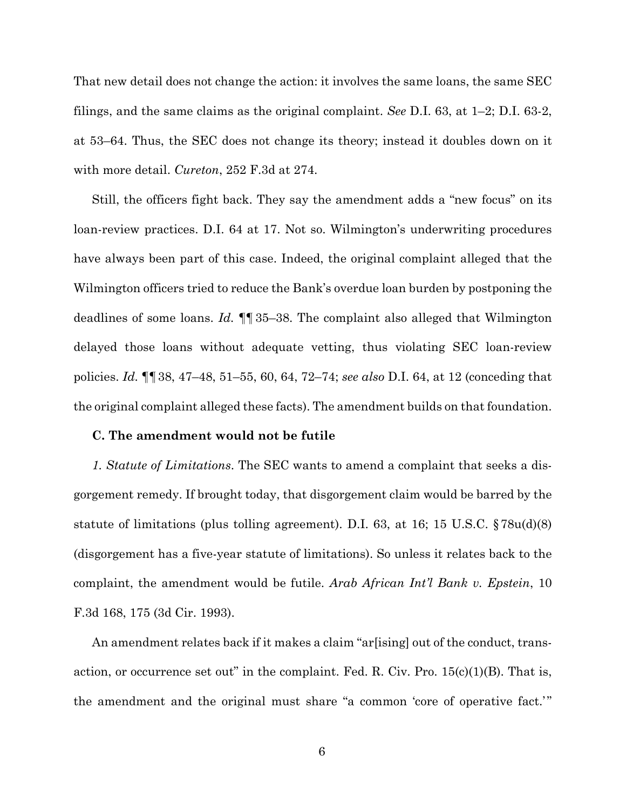That new detail does not change the action: it involves the same loans, the same SEC filings, and the same claims as the original complaint. *See* D.I. 63, at 1–2; D.I. 63-2, at 53–64. Thus, the SEC does not change its theory; instead it doubles down on it with more detail. *Cureton*, 252 F.3d at 274.

Still, the officers fight back. They say the amendment adds a "new focus" on its loan-review practices. D.I. 64 at 17. Not so. Wilmington's underwriting procedures have always been part of this case. Indeed, the original complaint alleged that the Wilmington officers tried to reduce the Bank's overdue loan burden by postponing the deadlines of some loans. *Id.* ¶¶35–38. The complaint also alleged that Wilmington delayed those loans without adequate vetting, thus violating SEC loan-review policies. *Id.* ¶¶38, 47–48, 51–55, 60, 64, 72–74; *see also* D.I. 64, at 12 (conceding that the original complaint alleged these facts). The amendment builds on that foundation.

#### **C. The amendment would not be futile**

*1. Statute of Limitations*. The SEC wants to amend a complaint that seeks a disgorgement remedy. If brought today, that disgorgement claim would be barred by the statute of limitations (plus tolling agreement). D.I. 63, at 16; 15 U.S.C. §78u(d)(8) (disgorgement has a five-year statute of limitations). So unless it relates back to the complaint, the amendment would be futile. *Arab African Int'l Bank v. Epstein*, 10 F.3d 168, 175 (3d Cir. 1993).

An amendment relates back if it makes a claim "ar[ising] out of the conduct, transaction, or occurrence set out" in the complaint. Fed. R. Civ. Pro.  $15(c)(1)(B)$ . That is, the amendment and the original must share "a common 'core of operative fact.'"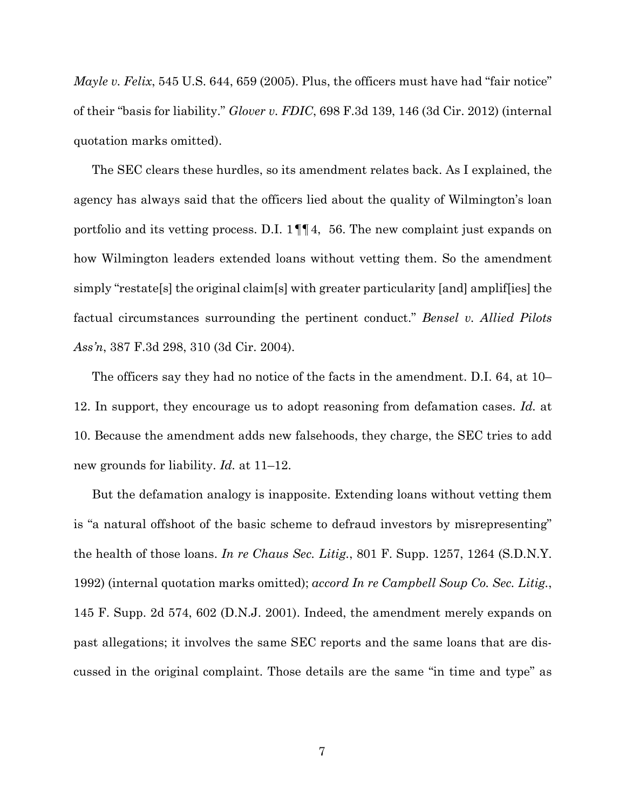*Mayle v. Felix*, 545 U.S. 644, 659 (2005). Plus, the officers must have had "fair notice" of their "basis for liability." *Glover v. FDIC*, 698 F.3d 139, 146 (3d Cir. 2012) (internal quotation marks omitted).

The SEC clears these hurdles, so its amendment relates back. As I explained, the agency has always said that the officers lied about the quality of Wilmington's loan portfolio and its vetting process. D.I. 1¶¶4, 56. The new complaint just expands on how Wilmington leaders extended loans without vetting them. So the amendment simply "restate[s] the original claim[s] with greater particularity [and] amplif[ies] the factual circumstances surrounding the pertinent conduct." *Bensel v. Allied Pilots Ass'n*, 387 F.3d 298, 310 (3d Cir. 2004).

The officers say they had no notice of the facts in the amendment. D.I. 64, at 10– 12. In support, they encourage us to adopt reasoning from defamation cases. *Id.* at 10. Because the amendment adds new falsehoods, they charge, the SEC tries to add new grounds for liability. *Id.* at 11–12.

But the defamation analogy is inapposite. Extending loans without vetting them is "a natural offshoot of the basic scheme to defraud investors by misrepresenting" the health of those loans. *In re Chaus Sec. Litig.*, 801 F. Supp. 1257, 1264 (S.D.N.Y. 1992) (internal quotation marks omitted); *accord In re Campbell Soup Co. Sec. Litig.*, 145 F. Supp. 2d 574, 602 (D.N.J. 2001). Indeed, the amendment merely expands on past allegations; it involves the same SEC reports and the same loans that are discussed in the original complaint. Those details are the same "in time and type" as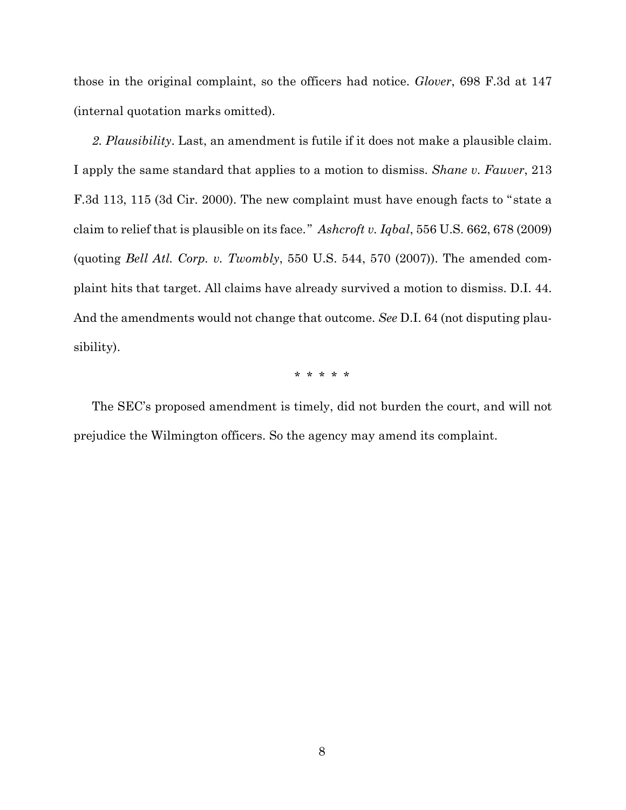those in the original complaint, so the officers had notice. *Glover*, 698 F.3d at 147 (internal quotation marks omitted).

*2. Plausibility*. Last, an amendment is futile if it does not make a plausible claim. I apply the same standard that applies to a motion to dismiss. *Shane v. Fauver*, 213 F.3d 113, 115 (3d Cir. 2000). The new complaint must have enough facts to " state a claim to relief that is plausible on its face." *Ashcroft v. Iqbal*, 556 U.S. 662, 678 (2009) (quoting *Bell Atl. Corp. v. Twombly*, 550 U.S. 544, 570 (2007)). The amended complaint hits that target. All claims have already survived a motion to dismiss. D.I. 44. And the amendments would not change that outcome. *See* D.I. 64 (not disputing plausibility).

\* \* \* \* \*

The SEC's proposed amendment is timely, did not burden the court, and will not prejudice the Wilmington officers. So the agency may amend its complaint.